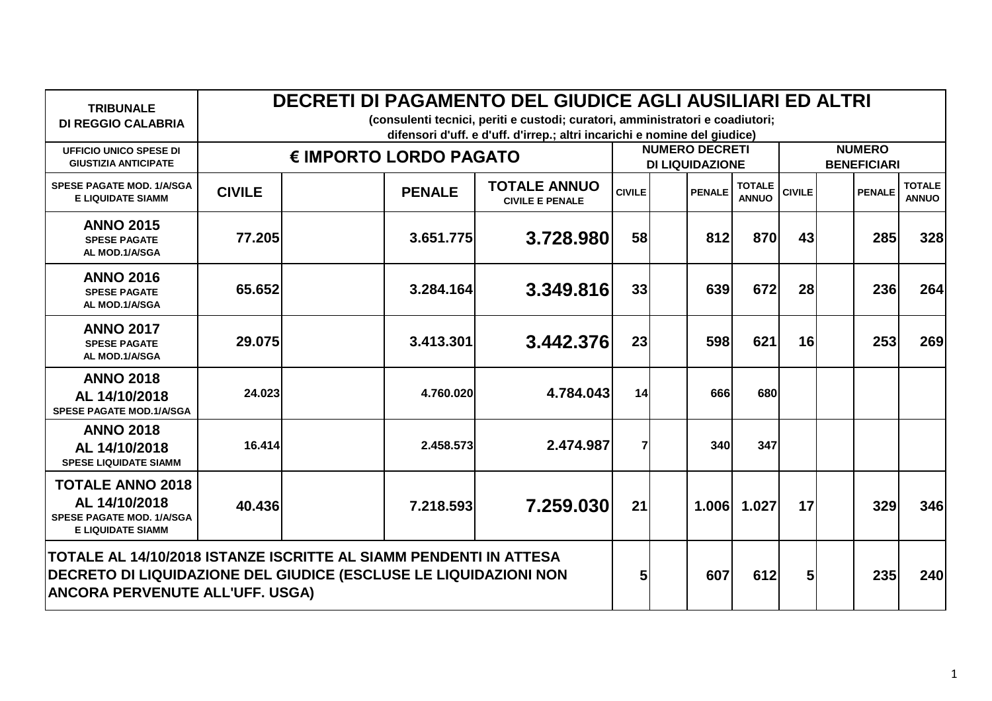| <b>TRIBUNALE</b><br><b>DI REGGIO CALABRIA</b>                                                                                                                                   | DECRETI DI PAGAMENTO DEL GIUDICE AGLI AUSILIARI ED ALTRI<br>(consulenti tecnici, periti e custodi; curatori, amministratori e coadiutori;<br>difensori d'uff. e d'uff. d'irrep.; altri incarichi e nomine del giudice) |                                                                                 |           |                |                                                 |                               |                                     |               |                               |  |  |
|---------------------------------------------------------------------------------------------------------------------------------------------------------------------------------|------------------------------------------------------------------------------------------------------------------------------------------------------------------------------------------------------------------------|---------------------------------------------------------------------------------|-----------|----------------|-------------------------------------------------|-------------------------------|-------------------------------------|---------------|-------------------------------|--|--|
| <b>UFFICIO UNICO SPESE DI</b><br><b>GIUSTIZIA ANTICIPATE</b>                                                                                                                    | € IMPORTO LORDO PAGATO                                                                                                                                                                                                 |                                                                                 |           |                | <b>NUMERO DECRETI</b><br><b>DI LIQUIDAZIONE</b> |                               | <b>NUMERO</b><br><b>BENEFICIARI</b> |               |                               |  |  |
| <b>SPESE PAGATE MOD. 1/A/SGA</b><br><b>E LIQUIDATE SIAMM</b>                                                                                                                    | <b>CIVILE</b>                                                                                                                                                                                                          | <b>TOTALE ANNUO</b><br><b>PENALE</b><br><b>CIVILE</b><br><b>CIVILE E PENALE</b> |           |                | <b>PENALE</b>                                   | <b>TOTALE</b><br><b>ANNUO</b> | <b>CIVILE</b>                       | <b>PENALE</b> | <b>TOTALE</b><br><b>ANNUO</b> |  |  |
| <b>ANNO 2015</b><br><b>SPESE PAGATE</b><br>AL MOD.1/A/SGA                                                                                                                       | 77.205                                                                                                                                                                                                                 | 3.651.775                                                                       | 3.728.980 | 58             | 812                                             | 870                           | 43                                  |               | 285<br>328                    |  |  |
| <b>ANNO 2016</b><br><b>SPESE PAGATE</b><br>AL MOD.1/A/SGA                                                                                                                       | 65.652                                                                                                                                                                                                                 | 3.284.164                                                                       | 3.349.816 | 33             | 639                                             | 672                           | 28                                  |               | <b>236</b><br>264             |  |  |
| <b>ANNO 2017</b><br><b>SPESE PAGATE</b><br>AL MOD.1/A/SGA                                                                                                                       | 29,075                                                                                                                                                                                                                 | 3.413.301                                                                       | 3.442.376 | 23             | 598                                             | 621                           | 16                                  |               | 253<br>269                    |  |  |
| <b>ANNO 2018</b><br>AL 14/10/2018<br><b>SPESE PAGATE MOD.1/A/SGA</b>                                                                                                            | 24.023                                                                                                                                                                                                                 | 4.760.020                                                                       | 4.784.043 | 14             | 666                                             | 680                           |                                     |               |                               |  |  |
| <b>ANNO 2018</b><br>AL 14/10/2018<br><b>SPESE LIQUIDATE SIAMM</b>                                                                                                               | 16.414                                                                                                                                                                                                                 | 2.458.573                                                                       | 2.474.987 | $\overline{7}$ | 340                                             | 347                           |                                     |               |                               |  |  |
| <b>TOTALE ANNO 2018</b><br>AL 14/10/2018<br><b>SPESE PAGATE MOD. 1/A/SGA</b><br><b>E LIQUIDATE SIAMM</b>                                                                        | 40.436                                                                                                                                                                                                                 | 7.218.593                                                                       | 7.259.030 | 21             | 1.006                                           | 1.027                         | 17                                  |               | 329<br>346                    |  |  |
| TOTALE AL 14/10/2018 ISTANZE ISCRITTE AL SIAMM PENDENTI IN ATTESA<br>DECRETO DI LIQUIDAZIONE DEL GIUDICE (ESCLUSE LE LIQUIDAZIONI NON<br><b>ANCORA PERVENUTE ALL'UFF. USGA)</b> |                                                                                                                                                                                                                        |                                                                                 |           |                | 607                                             | 612                           | 5 <sub>l</sub>                      |               | 235<br>240                    |  |  |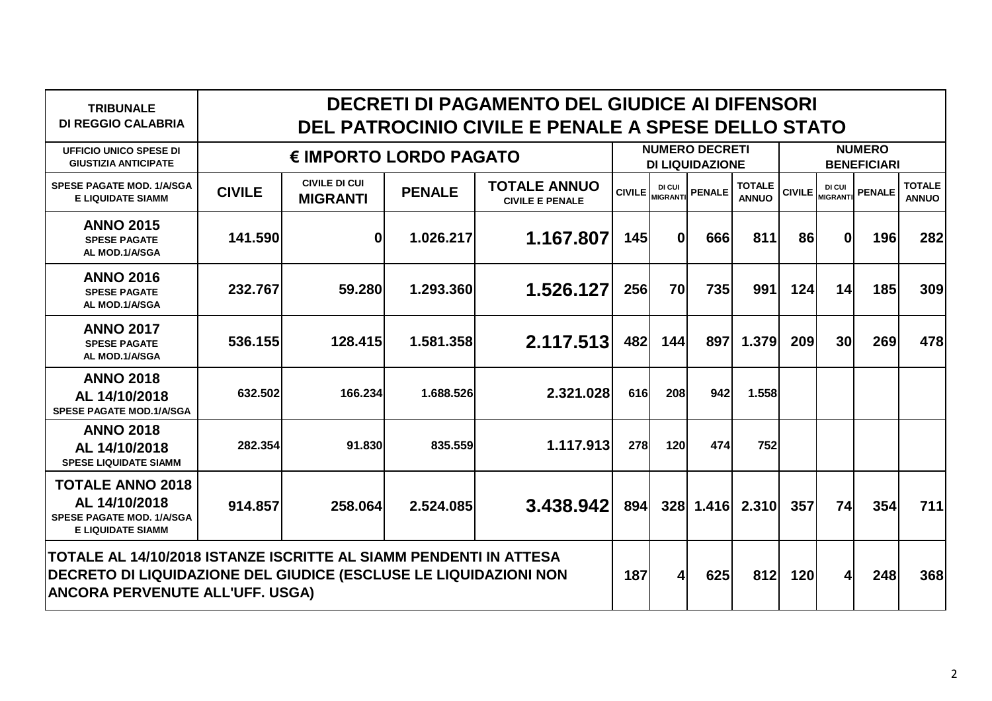| <b>TRIBUNALE</b><br><b>DI REGGIO CALABRIA</b>                                                                                                                                   | DECRETI DI PAGAMENTO DEL GIUDICE AI DIFENSORI<br>DEL PATROCINIO CIVILE E PENALE A SPESE DELLO STATO |                                         |               |                                               |                                                 |                                  |               |                               |                                     |                           |               |                               |  |
|---------------------------------------------------------------------------------------------------------------------------------------------------------------------------------|-----------------------------------------------------------------------------------------------------|-----------------------------------------|---------------|-----------------------------------------------|-------------------------------------------------|----------------------------------|---------------|-------------------------------|-------------------------------------|---------------------------|---------------|-------------------------------|--|
| <b>UFFICIO UNICO SPESE DI</b><br><b>GIUSTIZIA ANTICIPATE</b>                                                                                                                    | € IMPORTO LORDO PAGATO                                                                              |                                         |               |                                               | <b>NUMERO DECRETI</b><br><b>DI LIQUIDAZIONE</b> |                                  |               |                               | <b>NUMERO</b><br><b>BENEFICIARI</b> |                           |               |                               |  |
| <b>SPESE PAGATE MOD. 1/A/SGA</b><br><b>E LIQUIDATE SIAMM</b>                                                                                                                    | <b>CIVILE</b>                                                                                       | <b>CIVILE DI CUI</b><br><b>MIGRANTI</b> | <b>PENALE</b> | <b>TOTALE ANNUO</b><br><b>CIVILE E PENALE</b> |                                                 | <b>DI CUI</b><br>CIVILE MIGRANTI | <b>PENALE</b> | <b>TOTALE</b><br><b>ANNUO</b> | <b>CIVILE</b>                       | DI CUI<br><b>MIGRANTI</b> | <b>PENALE</b> | <b>TOTALE</b><br><b>ANNUO</b> |  |
| <b>ANNO 2015</b><br><b>SPESE PAGATE</b><br>AL MOD.1/A/SGA                                                                                                                       | 141.590                                                                                             | $\mathbf{0}$                            | 1.026.217     | 1.167.807                                     | 145                                             | $\mathbf{0}$                     | 666           | 811                           | 86                                  | $\bf{0}$                  | <b>196</b>    | 282                           |  |
| <b>ANNO 2016</b><br><b>SPESE PAGATE</b><br>AL MOD.1/A/SGA                                                                                                                       | 232.767                                                                                             | 59,280                                  | 1.293.360     | 1.526.127                                     | 256                                             | 70                               | <b>735</b>    | 991                           | 124                                 | 14                        | <b>185</b>    | 309                           |  |
| <b>ANNO 2017</b><br><b>SPESE PAGATE</b><br>AL MOD.1/A/SGA                                                                                                                       | 536.155                                                                                             | 128,415                                 | 1.581.358     | 2.117.513                                     | 482                                             | 144                              | 897           | 1.379                         | 209                                 | 30 <sub>l</sub>           | 269           | 478                           |  |
| <b>ANNO 2018</b><br>AL 14/10/2018<br><b>SPESE PAGATE MOD.1/A/SGA</b>                                                                                                            | 632.502                                                                                             | 166.234                                 | 1.688.526     | 2.321.028                                     | 616                                             | 208                              | 942           | 1.558                         |                                     |                           |               |                               |  |
| <b>ANNO 2018</b><br>AL 14/10/2018<br><b>SPESE LIQUIDATE SIAMM</b>                                                                                                               | 282.354                                                                                             | 91.830                                  | 835.559       | 1.117.913                                     | 278                                             | 120                              | 474           | 752                           |                                     |                           |               |                               |  |
| <b>TOTALE ANNO 2018</b><br>AL 14/10/2018<br><b>SPESE PAGATE MOD. 1/A/SGA</b><br><b>E LIQUIDATE SIAMM</b>                                                                        | 914.857                                                                                             | 258.064                                 | 2.524.085     | 3.438.942                                     | 894                                             |                                  | 328 1.416     | 2.310                         | 357                                 | 74                        | 354           | 711                           |  |
| TOTALE AL 14/10/2018 ISTANZE ISCRITTE AL SIAMM PENDENTI IN ATTESA<br>DECRETO DI LIQUIDAZIONE DEL GIUDICE (ESCLUSE LE LIQUIDAZIONI NON<br><b>ANCORA PERVENUTE ALL'UFF. USGA)</b> |                                                                                                     |                                         |               |                                               | 187                                             | $\vert$                          | 625           | 812                           | 120                                 | 4                         | 248           | 368                           |  |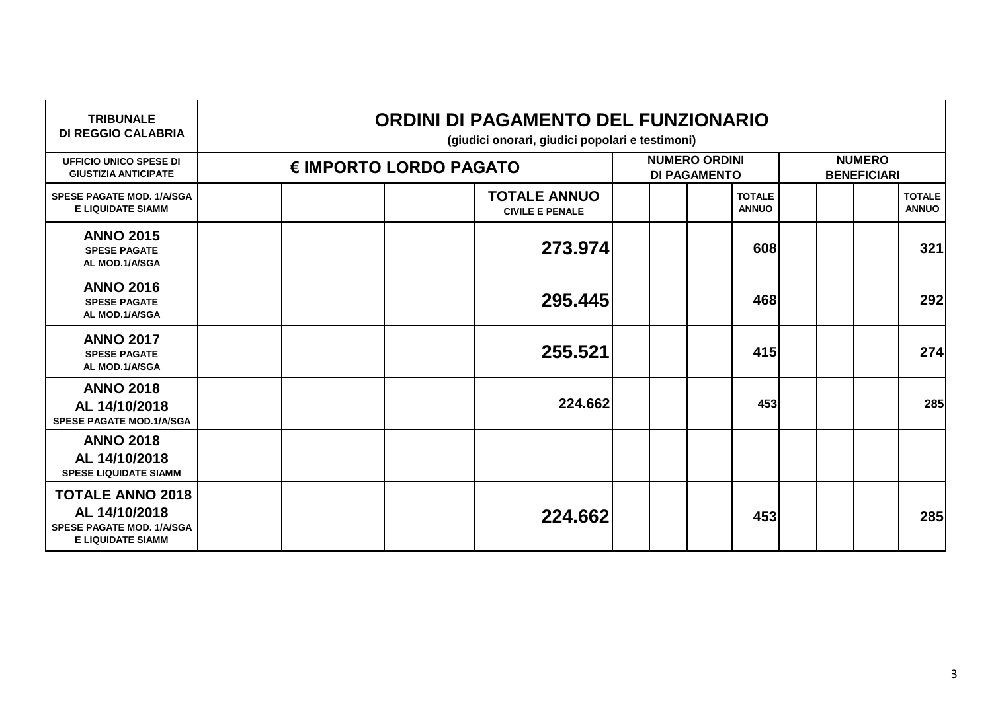| <b>TRIBUNALE</b><br><b>DI REGGIO CALABRIA</b>                                                            | ORDINI DI PAGAMENTO DEL FUNZIONARIO<br>(giudici onorari, giudici popolari e testimoni) |  |  |                                               |                                             |  |                               |                                     |  |  |                               |
|----------------------------------------------------------------------------------------------------------|----------------------------------------------------------------------------------------|--|--|-----------------------------------------------|---------------------------------------------|--|-------------------------------|-------------------------------------|--|--|-------------------------------|
| <b>UFFICIO UNICO SPESE DI</b><br><b>GIUSTIZIA ANTICIPATE</b>                                             | € IMPORTO LORDO PAGATO                                                                 |  |  |                                               | <b>NUMERO ORDINI</b><br><b>DI PAGAMENTO</b> |  |                               | <b>NUMERO</b><br><b>BENEFICIARI</b> |  |  |                               |
| <b>SPESE PAGATE MOD. 1/A/SGA</b><br><b>E LIQUIDATE SIAMM</b>                                             |                                                                                        |  |  | <b>TOTALE ANNUO</b><br><b>CIVILE E PENALE</b> |                                             |  | <b>TOTALE</b><br><b>ANNUO</b> |                                     |  |  | <b>TOTALE</b><br><b>ANNUO</b> |
| <b>ANNO 2015</b><br><b>SPESE PAGATE</b><br>AL MOD.1/A/SGA                                                |                                                                                        |  |  | 273.974                                       |                                             |  | 608                           |                                     |  |  | 321                           |
| <b>ANNO 2016</b><br><b>SPESE PAGATE</b><br>AL MOD.1/A/SGA                                                |                                                                                        |  |  | 295.445                                       |                                             |  | 468                           |                                     |  |  | 292                           |
| <b>ANNO 2017</b><br><b>SPESE PAGATE</b><br>AL MOD.1/A/SGA                                                |                                                                                        |  |  | 255.521                                       |                                             |  | 415                           |                                     |  |  | 274                           |
| <b>ANNO 2018</b><br>AL 14/10/2018<br><b>SPESE PAGATE MOD.1/A/SGA</b>                                     |                                                                                        |  |  | 224.662                                       |                                             |  | 453                           |                                     |  |  | 285                           |
| <b>ANNO 2018</b><br>AL 14/10/2018<br><b>SPESE LIQUIDATE SIAMM</b>                                        |                                                                                        |  |  |                                               |                                             |  |                               |                                     |  |  |                               |
| <b>TOTALE ANNO 2018</b><br>AL 14/10/2018<br><b>SPESE PAGATE MOD. 1/A/SGA</b><br><b>E LIQUIDATE SIAMM</b> |                                                                                        |  |  | 224.662                                       |                                             |  | 453                           |                                     |  |  | 285                           |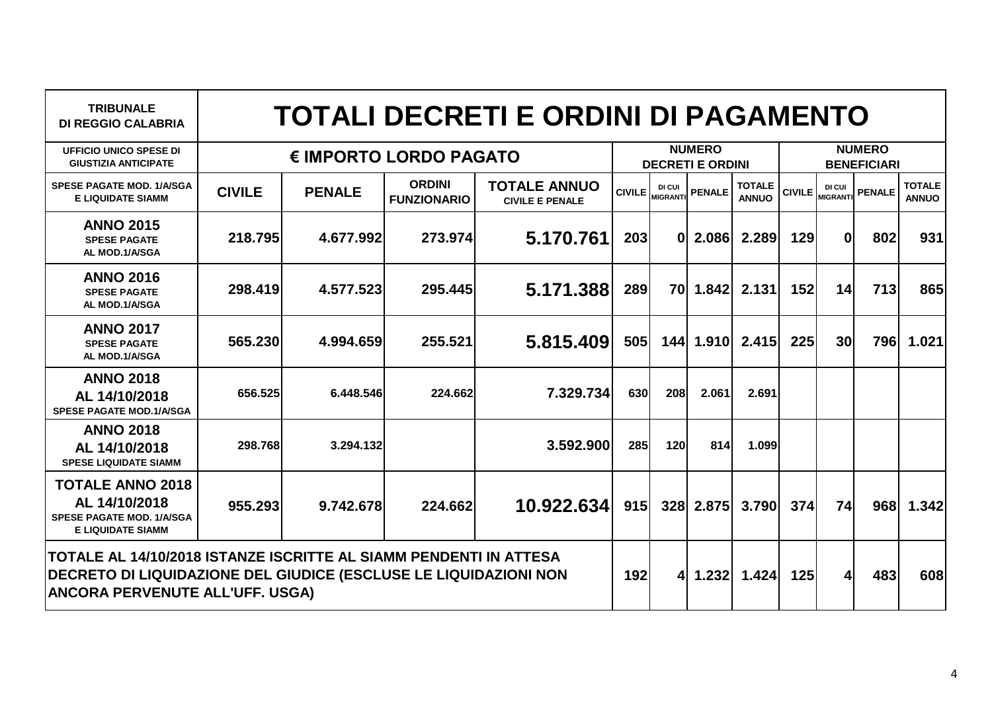| <b>TRIBUNALE</b><br><b>DI REGGIO CALABRIA</b>                                                                                                                                   |                        |               |                                     | <b>TOTALI DECRETI E ORDINI DI PAGAMENTO</b>   |               |                                          |               |                               |                                     |                           |               |                               |
|---------------------------------------------------------------------------------------------------------------------------------------------------------------------------------|------------------------|---------------|-------------------------------------|-----------------------------------------------|---------------|------------------------------------------|---------------|-------------------------------|-------------------------------------|---------------------------|---------------|-------------------------------|
| <b>UFFICIO UNICO SPESE DI</b><br><b>GIUSTIZIA ANTICIPATE</b>                                                                                                                    | € IMPORTO LORDO PAGATO |               |                                     |                                               |               | <b>NUMERO</b><br><b>DECRETI E ORDINI</b> |               |                               | <b>NUMERO</b><br><b>BENEFICIARI</b> |                           |               |                               |
| <b>SPESE PAGATE MOD. 1/A/SGA</b><br><b>E LIQUIDATE SIAMM</b>                                                                                                                    | <b>CIVILE</b>          | <b>PENALE</b> | <b>ORDINI</b><br><b>FUNZIONARIO</b> | <b>TOTALE ANNUO</b><br><b>CIVILE E PENALE</b> | <b>CIVILE</b> | DI CUI<br><b>MIGRANTI</b>                | <b>PENALE</b> | <b>TOTALE</b><br><b>ANNUO</b> | <b>CIVILE</b>                       | DI CUI<br><b>MIGRANTI</b> | <b>PENALE</b> | <b>TOTALE</b><br><b>ANNUO</b> |
| <b>ANNO 2015</b><br><b>SPESE PAGATE</b><br>AL MOD.1/A/SGA                                                                                                                       | 218.795                | 4.677.992     | 273.974                             | 5.170.761                                     | 203           | $\mathbf{0}$                             |               | 2.086 2.289                   | 129                                 | $\mathbf{0}$              | 802           | 931                           |
| <b>ANNO 2016</b><br><b>SPESE PAGATE</b><br>AL MOD.1/A/SGA                                                                                                                       | 298.419                | 4.577.523     | 295.445                             | 5.171.388                                     | 289           | 70I                                      | 1.842         | 2.131                         | 152                                 | 14                        | 713           | 865                           |
| <b>ANNO 2017</b><br><b>SPESE PAGATE</b><br>AL MOD.1/A/SGA                                                                                                                       | 565,230                | 4.994.659     | 255.521                             | 5.815.409                                     | 505           |                                          |               | 144 1.910 2.415               | 225                                 | 30 <sup>l</sup>           | <b>796</b>    | 1.021                         |
| <b>ANNO 2018</b><br>AL 14/10/2018<br><b>SPESE PAGATE MOD.1/A/SGA</b>                                                                                                            | 656.525                | 6.448.546     | 224.662                             | 7.329.734                                     | 630           | <b>208</b>                               | 2.061         | 2.691                         |                                     |                           |               |                               |
| <b>ANNO 2018</b><br>AL 14/10/2018<br><b>SPESE LIQUIDATE SIAMM</b>                                                                                                               | 298.768                | 3.294.132     |                                     | 3.592.900                                     | 285           | 120                                      | 814           | 1.099                         |                                     |                           |               |                               |
| <b>TOTALE ANNO 2018</b><br>AL 14/10/2018<br><b>SPESE PAGATE MOD. 1/A/SGA</b><br><b>E LIQUIDATE SIAMM</b>                                                                        | 955.293                | 9.742.678     | 224.662                             | 10.922.634                                    | 915           |                                          |               | 328 2.875 3.790               | 374                                 | 74                        | 968           | 1.342                         |
| TOTALE AL 14/10/2018 ISTANZE ISCRITTE AL SIAMM PENDENTI IN ATTESA<br>DECRETO DI LIQUIDAZIONE DEL GIUDICE (ESCLUSE LE LIQUIDAZIONI NON<br><b>ANCORA PERVENUTE ALL'UFF. USGA)</b> |                        |               |                                     |                                               | 192           | 41                                       |               | $1.232$ $1.424$               | 125                                 | $\vert$                   | 483           | 608                           |